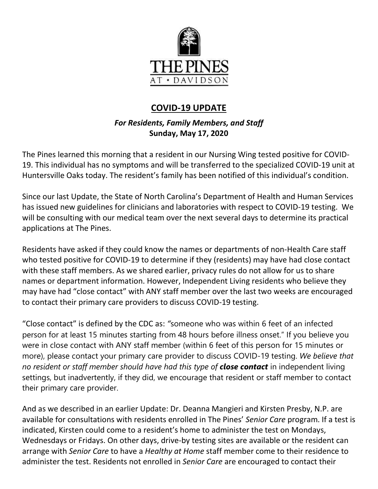

## **COVID-19 UPDATE**

## *For Residents, Family Members, and Staff* **Sunday, May 17, 2020**

The Pines learned this morning that a resident in our Nursing Wing tested positive for COVID-19. This individual has no symptoms and will be transferred to the specialized COVID-19 unit at Huntersville Oaks today. The resident's family has been notified of this individual's condition.

Since our last Update, the State of North Carolina's Department of Health and Human Services has issued new guidelines for clinicians and laboratories with respect to COVID-19 testing. We will be consulting with our medical team over the next several days to determine its practical applications at The Pines.

Residents have asked if they could know the names or departments of non-Health Care staff who tested positive for COVID-19 to determine if they (residents) may have had close contact with these staff members. As we shared earlier, privacy rules do not allow for us to share names or department information. However, Independent Living residents who believe they may have had "close contact" with ANY staff member over the last two weeks are encouraged to contact their primary care providers to discuss COVID-19 testing.

"Close contact" is defined by the CDC as: *"*someone who was within 6 feet of an infected person for at least 15 minutes starting from 48 hours before illness onset." If you believe you were in close contact with ANY staff member (within 6 feet of this person for 15 minutes or more), please contact your primary care provider to discuss COVID-19 testing. *We believe that no resident or staff member should have had this type of close contact* in independent living settings, but inadvertently, if they did, we encourage that resident or staff member to contact their primary care provider.

And as we described in an earlier Update: Dr. Deanna Mangieri and Kirsten Presby, N.P. are available for consultations with residents enrolled in The Pines' *Senior Care* program. If a test is indicated, Kirsten could come to a resident's home to administer the test on Mondays, Wednesdays or Fridays. On other days, drive-by testing sites are available or the resident can arrange with *Senior Care* to have a *Healthy at Home* staff member come to their residence to administer the test. Residents not enrolled in *Senior Care* are encouraged to contact their